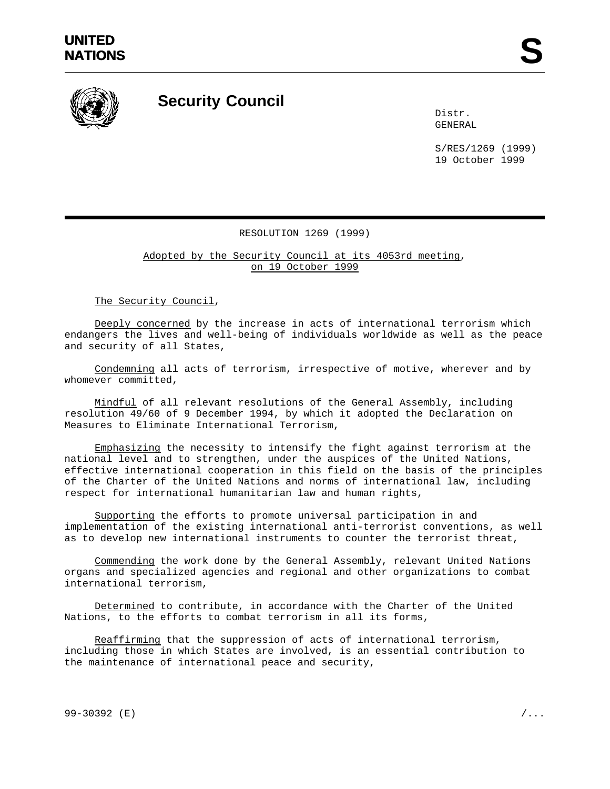

## **Security Council**

Distr. GENERAL

S/RES/1269 (1999) 19 October 1999

## RESOLUTION 1269 (1999)

Adopted by the Security Council at its 4053rd meeting, on 19 October 1999

The Security Council,

Deeply concerned by the increase in acts of international terrorism which endangers the lives and well-being of individuals worldwide as well as the peace and security of all States,

Condemning all acts of terrorism, irrespective of motive, wherever and by whomever committed,

Mindful of all relevant resolutions of the General Assembly, including resolution 49/60 of 9 December 1994, by which it adopted the Declaration on Measures to Eliminate International Terrorism,

Emphasizing the necessity to intensify the fight against terrorism at the national level and to strengthen, under the auspices of the United Nations, effective international cooperation in this field on the basis of the principles of the Charter of the United Nations and norms of international law, including respect for international humanitarian law and human rights,

Supporting the efforts to promote universal participation in and implementation of the existing international anti-terrorist conventions, as well as to develop new international instruments to counter the terrorist threat,

Commending the work done by the General Assembly, relevant United Nations organs and specialized agencies and regional and other organizations to combat international terrorism,

Determined to contribute, in accordance with the Charter of the United Nations, to the efforts to combat terrorism in all its forms,

Reaffirming that the suppression of acts of international terrorism, including those in which States are involved, is an essential contribution to the maintenance of international peace and security,